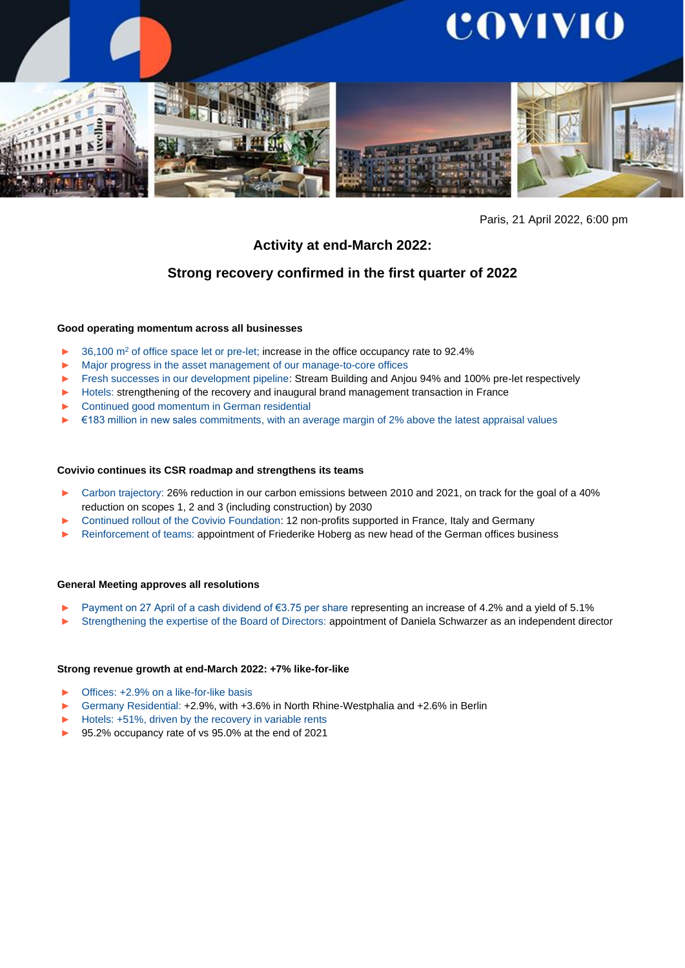

#### Paris, 21 April 2022, 6:00 pm

# **Activity at end-March 2022:**

## **Strong recovery confirmed in the first quarter of 2022**

#### **Good operating momentum across all businesses**

- 36,100 m<sup>2</sup> of office space let or pre-let; increase in the office occupancy rate to 92.4%
- ► Major progress in the asset management of our manage-to-core offices
- ► Fresh successes in our development pipeline: Stream Building and Anjou 94% and 100% pre-let respectively
- ► Hotels: strengthening of the recovery and inaugural brand management transaction in France
- ► Continued good momentum in German residential
- ► €183 million in new sales commitments, with an average margin of 2% above the latest appraisal values

#### **Covivio continues its CSR roadmap and strengthens its teams**

- Carbon trajectory: 26% reduction in our carbon emissions between 2010 and 2021, on track for the goal of a 40% reduction on scopes 1, 2 and 3 (including construction) by 2030
- Continued rollout of the Covivio Foundation: 12 non-profits supported in France, Italy and Germany
- Reinforcement of teams: appointment of Friederike Hoberg as new head of the German offices business

#### **General Meeting approves all resolutions**

- Payment on 27 April of a cash dividend of €3.75 per share representing an increase of 4.2% and a yield of 5.1%
- Strengthening the expertise of the Board of Directors: appointment of Daniela Schwarzer as an independent director

#### **Strong revenue growth at end-March 2022: +7% like-for-like**

- Offices: +2.9% on a like-for-like basis
- ► Germany Residential: +2.9%, with +3.6% in North Rhine-Westphalia and +2.6% in Berlin
- Hotels: +51%, driven by the recovery in variable rents
- ► 95.2% occupancy rate of vs 95.0% at the end of 2021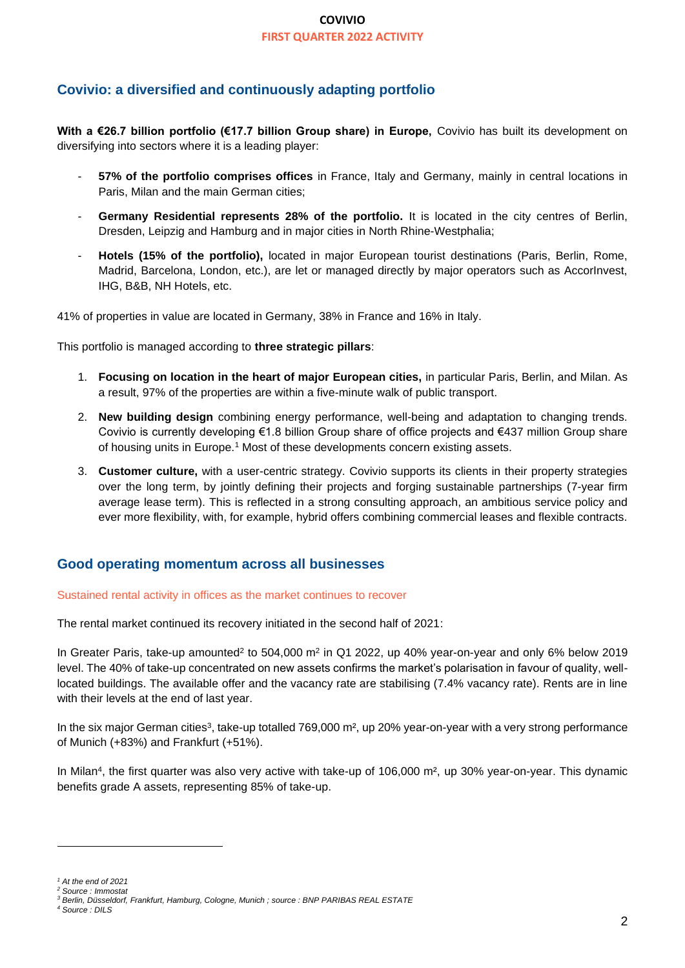# **Covivio: a diversified and continuously adapting portfolio**

**With a €26.7 billion portfolio (€17.7 billion Group share) in Europe,** Covivio has built its development on diversifying into sectors where it is a leading player:

- **57% of the portfolio comprises offices** in France, Italy and Germany, mainly in central locations in Paris, Milan and the main German cities;
- **Germany Residential represents 28% of the portfolio.** It is located in the city centres of Berlin, Dresden, Leipzig and Hamburg and in major cities in North Rhine-Westphalia;
- **Hotels (15% of the portfolio),** located in major European tourist destinations (Paris, Berlin, Rome, Madrid, Barcelona, London, etc.), are let or managed directly by major operators such as AccorInvest, IHG, B&B, NH Hotels, etc.

41% of properties in value are located in Germany, 38% in France and 16% in Italy.

This portfolio is managed according to **three strategic pillars**:

- 1. **Focusing on location in the heart of major European cities,** in particular Paris, Berlin, and Milan. As a result, 97% of the properties are within a five-minute walk of public transport.
- 2. **New building design** combining energy performance, well-being and adaptation to changing trends. Covivio is currently developing €1.8 billion Group share of office projects and €437 million Group share of housing units in Europe.<sup>1</sup> Most of these developments concern existing assets.
- 3. **Customer culture,** with a user-centric strategy. Covivio supports its clients in their property strategies over the long term, by jointly defining their projects and forging sustainable partnerships (7-year firm average lease term). This is reflected in a strong consulting approach, an ambitious service policy and ever more flexibility, with, for example, hybrid offers combining commercial leases and flexible contracts.

# **Good operating momentum across all businesses**

#### Sustained rental activity in offices as the market continues to recover

The rental market continued its recovery initiated in the second half of 2021:

In Greater Paris, take-up amounted<sup>2</sup> to 504,000 m<sup>2</sup> in Q1 2022, up 40% year-on-year and only 6% below 2019 level. The 40% of take-up concentrated on new assets confirms the market's polarisation in favour of quality, welllocated buildings. The available offer and the vacancy rate are stabilising (7.4% vacancy rate). Rents are in line with their levels at the end of last year.

In the six major German cities<sup>3</sup>, take-up totalled 769,000 m<sup>2</sup>, up 20% year-on-year with a very strong performance of Munich (+83%) and Frankfurt (+51%).

In Milan<sup>4</sup>, the first quarter was also very active with take-up of 106,000 m<sup>2</sup>, up 30% year-on-year. This dynamic benefits grade A assets, representing 85% of take-up.

*<sup>1</sup> At the end of 2021*

*<sup>2</sup> Source : Immostat*

*<sup>3</sup> Berlin, Düsseldorf, Frankfurt, Hamburg, Cologne, Munich ; source : BNP PARIBAS REAL ESTATE*

*<sup>4</sup> Source : DILS*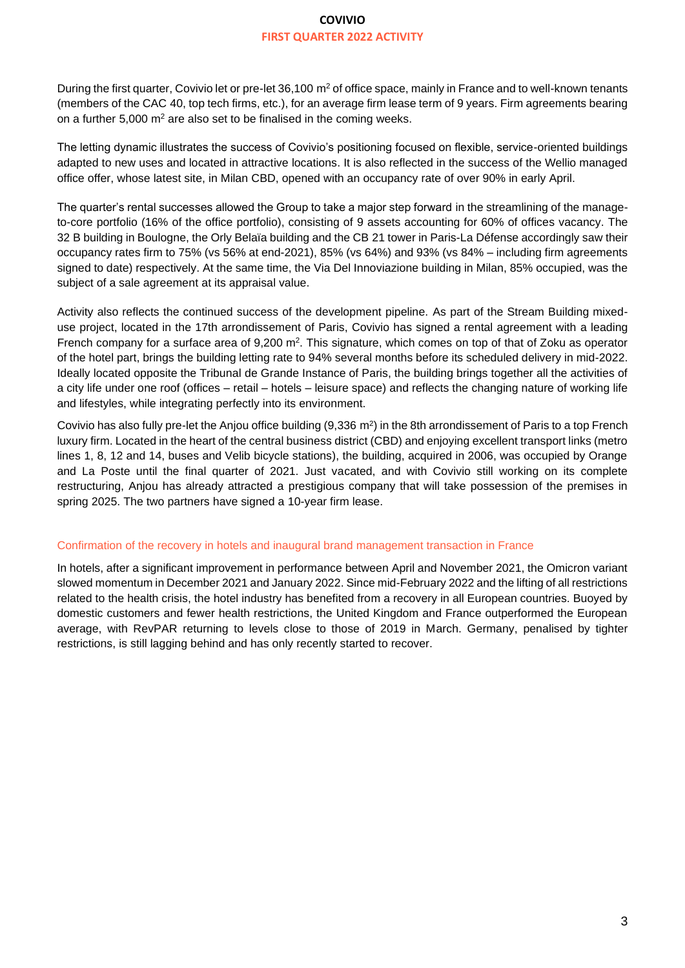During the first quarter, Covivio let or pre-let 36,100 m<sup>2</sup> of office space, mainly in France and to well-known tenants (members of the CAC 40, top tech firms, etc.), for an average firm lease term of 9 years. Firm agreements bearing on a further  $5,000 \text{ m}^2$  are also set to be finalised in the coming weeks.

The letting dynamic illustrates the success of Covivio's positioning focused on flexible, service-oriented buildings adapted to new uses and located in attractive locations. It is also reflected in the success of the Wellio managed office offer, whose latest site, in Milan CBD, opened with an occupancy rate of over 90% in early April.

The quarter's rental successes allowed the Group to take a major step forward in the streamlining of the manageto-core portfolio (16% of the office portfolio), consisting of 9 assets accounting for 60% of offices vacancy. The 32 B building in Boulogne, the Orly Belaïa building and the CB 21 tower in Paris-La Défense accordingly saw their occupancy rates firm to 75% (vs 56% at end-2021), 85% (vs 64%) and 93% (vs 84% – including firm agreements signed to date) respectively. At the same time, the Via Del Innoviazione building in Milan, 85% occupied, was the subject of a sale agreement at its appraisal value.

Activity also reflects the continued success of the development pipeline. As part of the Stream Building mixeduse project, located in the 17th arrondissement of Paris, Covivio has signed a rental agreement with a leading French company for a surface area of 9,200 m<sup>2</sup>. This signature, which comes on top of that of Zoku as operator of the hotel part, brings the building letting rate to 94% several months before its scheduled delivery in mid-2022. Ideally located opposite the Tribunal de Grande Instance of Paris, the building brings together all the activities of a city life under one roof (offices – retail – hotels – leisure space) and reflects the changing nature of working life and lifestyles, while integrating perfectly into its environment.

Covivio has also fully pre-let the Anjou office building  $(9,336 \text{ m}^2)$  in the 8th arrondissement of Paris to a top French luxury firm. Located in the heart of the central business district (CBD) and enjoying excellent transport links (metro lines 1, 8, 12 and 14, buses and Velib bicycle stations), the building, acquired in 2006, was occupied by Orange and La Poste until the final quarter of 2021. Just vacated, and with Covivio still working on its complete restructuring, Anjou has already attracted a prestigious company that will take possession of the premises in spring 2025. The two partners have signed a 10-year firm lease.

#### Confirmation of the recovery in hotels and inaugural brand management transaction in France

In hotels, after a significant improvement in performance between April and November 2021, the Omicron variant slowed momentum in December 2021 and January 2022. Since mid-February 2022 and the lifting of all restrictions related to the health crisis, the hotel industry has benefited from a recovery in all European countries. Buoyed by domestic customers and fewer health restrictions, the United Kingdom and France outperformed the European average, with RevPAR returning to levels close to those of 2019 in March. Germany, penalised by tighter restrictions, is still lagging behind and has only recently started to recover.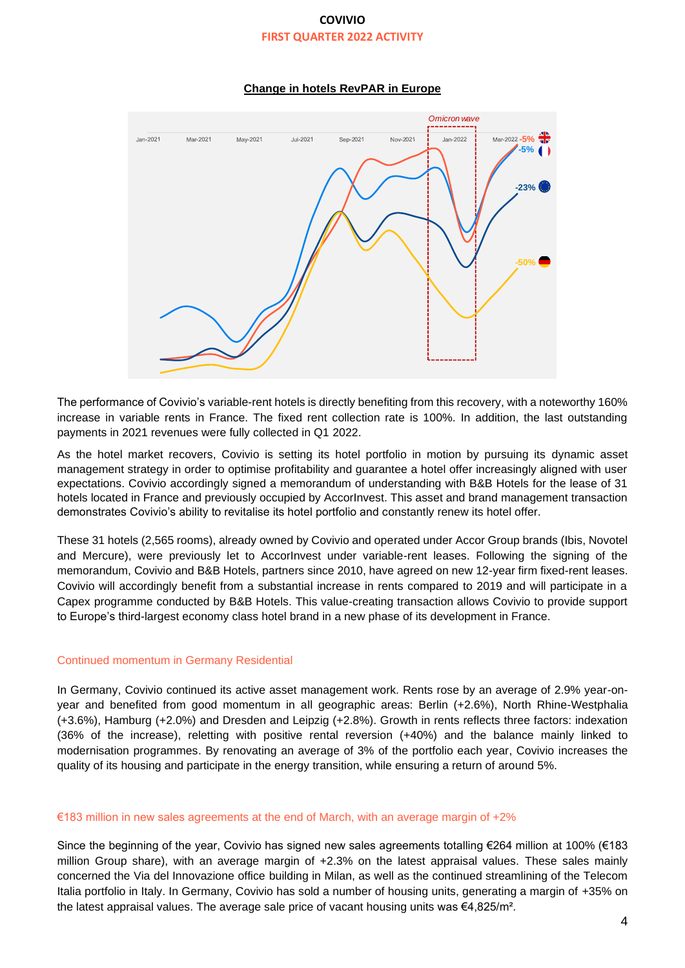### **Change in hotels RevPAR in Europe**



The performance of Covivio's variable-rent hotels is directly benefiting from this recovery, with a noteworthy 160% increase in variable rents in France. The fixed rent collection rate is 100%. In addition, the last outstanding payments in 2021 revenues were fully collected in Q1 2022.

As the hotel market recovers, Covivio is setting its hotel portfolio in motion by pursuing its dynamic asset management strategy in order to optimise profitability and guarantee a hotel offer increasingly aligned with user expectations. Covivio accordingly signed a memorandum of understanding with B&B Hotels for the lease of 31 hotels located in France and previously occupied by AccorInvest. This asset and brand management transaction demonstrates Covivio's ability to revitalise its hotel portfolio and constantly renew its hotel offer.

These 31 hotels (2,565 rooms), already owned by Covivio and operated under Accor Group brands (Ibis, Novotel and Mercure), were previously let to AccorInvest under variable-rent leases. Following the signing of the memorandum, Covivio and B&B Hotels, partners since 2010, have agreed on new 12-year firm fixed-rent leases. Covivio will accordingly benefit from a substantial increase in rents compared to 2019 and will participate in a Capex programme conducted by B&B Hotels. This value-creating transaction allows Covivio to provide support to Europe's third-largest economy class hotel brand in a new phase of its development in France.

#### Continued momentum in Germany Residential

In Germany, Covivio continued its active asset management work. Rents rose by an average of 2.9% year-onyear and benefited from good momentum in all geographic areas: Berlin (+2.6%), North Rhine-Westphalia (+3.6%), Hamburg (+2.0%) and Dresden and Leipzig (+2.8%). Growth in rents reflects three factors: indexation (36% of the increase), reletting with positive rental reversion (+40%) and the balance mainly linked to modernisation programmes. By renovating an average of 3% of the portfolio each year, Covivio increases the quality of its housing and participate in the energy transition, while ensuring a return of around 5%.

#### €183 million in new sales agreements at the end of March, with an average margin of  $+2%$

Since the beginning of the year, Covivio has signed new sales agreements totalling €264 million at 100% (€183 million Group share), with an average margin of +2.3% on the latest appraisal values. These sales mainly concerned the Via del Innovazione office building in Milan, as well as the continued streamlining of the Telecom Italia portfolio in Italy. In Germany, Covivio has sold a number of housing units, generating a margin of +35% on the latest appraisal values. The average sale price of vacant housing units was €4,825/m².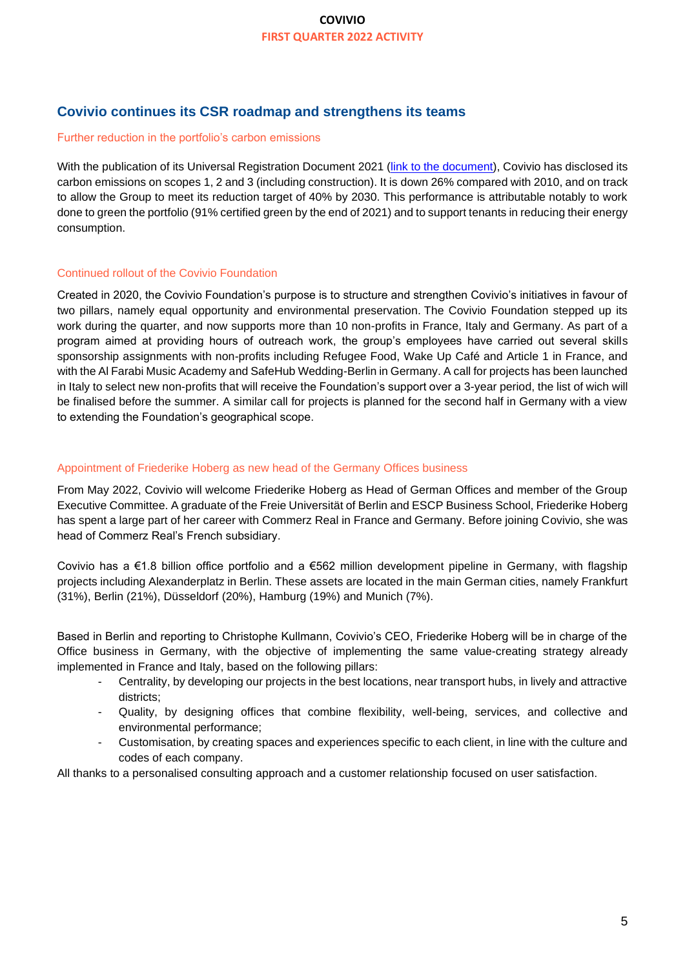# **Covivio continues its CSR roadmap and strengthens its teams**

#### Further reduction in the portfolio's carbon emissions

With the publication of its Universal Registration Document 2021 (link [to the document\)](https://www.covivio.eu/en/wp-content/uploads/sites/3/2022/04/2021-Universal-registration-document.pdf#page=109), Covivio has disclosed its carbon emissions on scopes 1, 2 and 3 (including construction). It is down 26% compared with 2010, and on track to allow the Group to meet its reduction target of 40% by 2030. This performance is attributable notably to work done to green the portfolio (91% certified green by the end of 2021) and to support tenants in reducing their energy consumption.

### Continued rollout of the Covivio Foundation

Created in 2020, the Covivio Foundation's purpose is to structure and strengthen Covivio's initiatives in favour of two pillars, namely equal opportunity and environmental preservation. The Covivio Foundation stepped up its work during the quarter, and now supports more than 10 non-profits in France, Italy and Germany. As part of a program aimed at providing hours of outreach work, the group's employees have carried out several skills sponsorship assignments with non-profits including Refugee Food, Wake Up Café and Article 1 in France, and with the Al Farabi Music Academy and SafeHub Wedding-Berlin in Germany. A call for projects has been launched in Italy to select new non-profits that will receive the Foundation's support over a 3-year period, the list of wich will be finalised before the summer. A similar call for projects is planned for the second half in Germany with a view to extending the Foundation's geographical scope.

#### Appointment of Friederike Hoberg as new head of the Germany Offices business

From May 2022, Covivio will welcome Friederike Hoberg as Head of German Offices and member of the Group Executive Committee. A graduate of the Freie Universität of Berlin and ESCP Business School, Friederike Hoberg has spent a large part of her career with Commerz Real in France and Germany. Before joining Covivio, she was head of Commerz Real's French subsidiary.

Covivio has a €1.8 billion office portfolio and a €562 million development pipeline in Germany, with flagship projects including Alexanderplatz in Berlin. These assets are located in the main German cities, namely Frankfurt (31%), Berlin (21%), Düsseldorf (20%), Hamburg (19%) and Munich (7%).

Based in Berlin and reporting to Christophe Kullmann, Covivio's CEO, Friederike Hoberg will be in charge of the Office business in Germany, with the objective of implementing the same value-creating strategy already implemented in France and Italy, based on the following pillars:

- Centrality, by developing our projects in the best locations, near transport hubs, in lively and attractive districts;
- Quality, by designing offices that combine flexibility, well-being, services, and collective and environmental performance;
- Customisation, by creating spaces and experiences specific to each client, in line with the culture and codes of each company.

All thanks to a personalised consulting approach and a customer relationship focused on user satisfaction.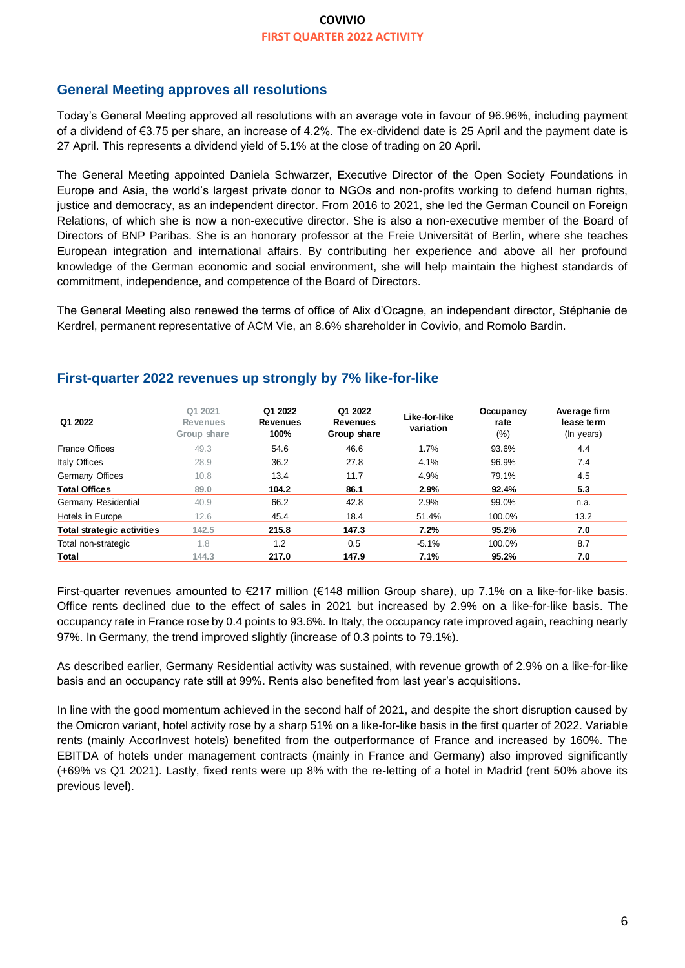# **General Meeting approves all resolutions**

Today's General Meeting approved all resolutions with an average vote in favour of 96.96%, including payment of a dividend of €3.75 per share, an increase of 4.2%. The ex-dividend date is 25 April and the payment date is 27 April. This represents a dividend yield of 5.1% at the close of trading on 20 April.

The General Meeting appointed Daniela Schwarzer, Executive Director of the Open Society Foundations in Europe and Asia, the world's largest private donor to NGOs and non-profits working to defend human rights, justice and democracy, as an independent director. From 2016 to 2021, she led the German Council on Foreign Relations, of which she is now a non-executive director. She is also a non-executive member of the Board of Directors of BNP Paribas. She is an honorary professor at the Freie Universität of Berlin, where she teaches European integration and international affairs. By contributing her experience and above all her profound knowledge of the German economic and social environment, she will help maintain the highest standards of commitment, independence, and competence of the Board of Directors.

The General Meeting also renewed the terms of office of Alix d'Ocagne, an independent director, Stéphanie de Kerdrel, permanent representative of ACM Vie, an 8.6% shareholder in Covivio, and Romolo Bardin.

| Q1 2022                           | Q1 2021<br><b>Revenues</b><br>Group share | Q1 2022<br><b>Revenues</b><br>100% | Q1 2022<br><b>Revenues</b><br>Group share | Like-for-like<br>variation | Occupancy<br>rate<br>(%) | Average firm<br>lease term<br>(In years) |
|-----------------------------------|-------------------------------------------|------------------------------------|-------------------------------------------|----------------------------|--------------------------|------------------------------------------|
| <b>France Offices</b>             | 49.3                                      | 54.6                               | 46.6                                      | 1.7%                       | 93.6%                    | 4.4                                      |
| Italy Offices                     | 28.9                                      | 36.2                               | 27.8                                      | 4.1%                       | 96.9%                    | 7.4                                      |
| Germany Offices                   | 10.8                                      | 13.4                               | 11.7                                      | 4.9%                       | 79.1%                    | 4.5                                      |
| <b>Total Offices</b>              | 89.0                                      | 104.2                              | 86.1                                      | 2.9%                       | 92.4%                    | 5.3                                      |
| Germany Residential               | 40.9                                      | 66.2                               | 42.8                                      | 2.9%                       | 99.0%                    | n.a.                                     |
| Hotels in Europe                  | 12.6                                      | 45.4                               | 18.4                                      | 51.4%                      | 100.0%                   | 13.2                                     |
| <b>Total strategic activities</b> | 142.5                                     | 215.8                              | 147.3                                     | 7.2%                       | 95.2%                    | 7.0                                      |
| Total non-strategic               | 1.8                                       | 1.2                                | 0.5                                       | $-5.1%$                    | 100.0%                   | 8.7                                      |
| Total                             | 144.3                                     | 217.0                              | 147.9                                     | 7.1%                       | 95.2%                    | 7.0                                      |

## **First-quarter 2022 revenues up strongly by 7% like-for-like**

First-quarter revenues amounted to €217 million (€148 million Group share), up 7.1% on a like-for-like basis. Office rents declined due to the effect of sales in 2021 but increased by 2.9% on a like-for-like basis. The occupancy rate in France rose by 0.4 points to 93.6%. In Italy, the occupancy rate improved again, reaching nearly 97%. In Germany, the trend improved slightly (increase of 0.3 points to 79.1%).

As described earlier, Germany Residential activity was sustained, with revenue growth of 2.9% on a like-for-like basis and an occupancy rate still at 99%. Rents also benefited from last year's acquisitions.

In line with the good momentum achieved in the second half of 2021, and despite the short disruption caused by the Omicron variant, hotel activity rose by a sharp 51% on a like-for-like basis in the first quarter of 2022. Variable rents (mainly AccorInvest hotels) benefited from the outperformance of France and increased by 160%. The EBITDA of hotels under management contracts (mainly in France and Germany) also improved significantly (+69% vs Q1 2021). Lastly, fixed rents were up 8% with the re-letting of a hotel in Madrid (rent 50% above its previous level).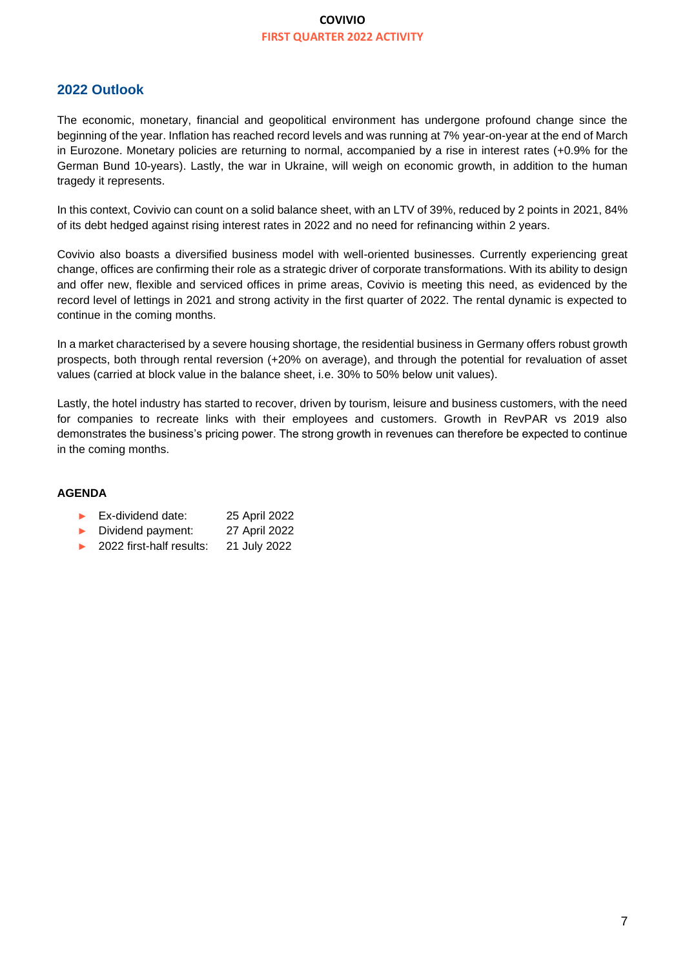# **2022 Outlook**

The economic, monetary, financial and geopolitical environment has undergone profound change since the beginning of the year. Inflation has reached record levels and was running at 7% year-on-year at the end of March in Eurozone. Monetary policies are returning to normal, accompanied by a rise in interest rates (+0.9% for the German Bund 10-years). Lastly, the war in Ukraine, will weigh on economic growth, in addition to the human tragedy it represents.

In this context, Covivio can count on a solid balance sheet, with an LTV of 39%, reduced by 2 points in 2021, 84% of its debt hedged against rising interest rates in 2022 and no need for refinancing within 2 years.

Covivio also boasts a diversified business model with well-oriented businesses. Currently experiencing great change, offices are confirming their role as a strategic driver of corporate transformations. With its ability to design and offer new, flexible and serviced offices in prime areas, Covivio is meeting this need, as evidenced by the record level of lettings in 2021 and strong activity in the first quarter of 2022. The rental dynamic is expected to continue in the coming months.

In a market characterised by a severe housing shortage, the residential business in Germany offers robust growth prospects, both through rental reversion (+20% on average), and through the potential for revaluation of asset values (carried at block value in the balance sheet, i.e. 30% to 50% below unit values).

Lastly, the hotel industry has started to recover, driven by tourism, leisure and business customers, with the need for companies to recreate links with their employees and customers. Growth in RevPAR vs 2019 also demonstrates the business's pricing power. The strong growth in revenues can therefore be expected to continue in the coming months.

#### **AGENDA**

- ► Ex-dividend date: 25 April 2022
- ► Dividend payment: 27 April 2022
- ► 2022 first-half results: 21 July 2022